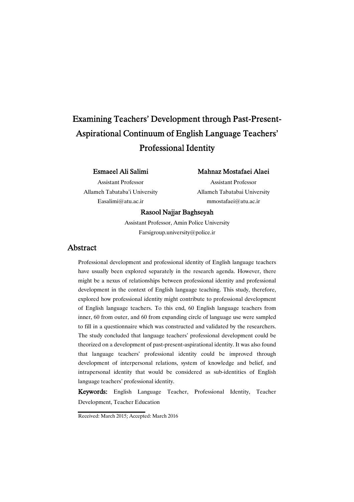# Examining Teachers' Development through Past-Present-Aspirational Continuum of English Language Teachers' Professional Identity

### EsmaeelAliSalimi

Assistant Professor Allameh Tabataba'i University Easalimi@atu.ac.ir

### Mahnaz Mostafaei Alaei

Assistant Professor Allameh Tabatabai University mmostafaei@atu.ac.ir

### Rasool Najjar Baghseyah

Assistant Professor, Amin Police University Farsigroup.university@police.ir

### Abstract

Professional development and professional identity of English language teachers have usually been explored separately in the research agenda. However, there might be a nexus of relationships between professional identity and professional development in the context of English language teaching. This study, therefore, explored how professional identity might contribute to professional development of English language teachers. To this end, 60 English language teachers from inner, 60 from outer, and 60 from expanding circle of language use were sampled to fill in a questionnaire which was constructed and validated by the researchers. The study concluded that language teachers' professional development could be theorized on a development of past-present-aspirational identity. It was also found that language teachers' professional identity could be improved through development of interpersonal relations, system of knowledge and belief, and intrapersonal identity that would be considered as sub-identities of English language teachers' professional identity.

Keywords: English Language Teacher, Professional Identity, Teacher Development, Teacher Education

Received: March 2015; Accepted: March 2016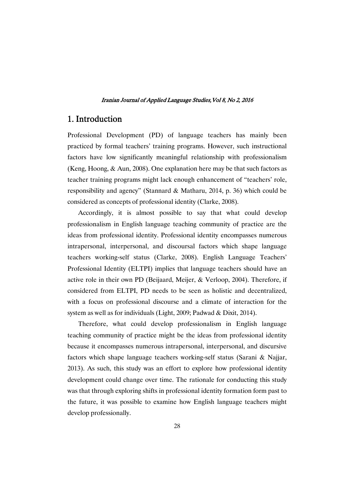## 1. Introduction

Professional Development (PD) of language teachers has mainly been practiced by formal teachers' training programs. However, such instructional factors have low significantly meaningful relationship with professionalism (Keng, Hoong, & Aun, 2008). One explanation here may be that such factors as teacher training programs might lack enough enhancement of "teachers' role, responsibility and agency" (Stannard & Matharu, 2014, p. 36) which could be considered as concepts of professional identity (Clarke, 2008).

Accordingly, it is almost possible to say that what could develop professionalism in English language teaching community of practice are the ideas from professional identity. Professional identity encompasses numerous intrapersonal, interpersonal, and discoursal factors which shape language teachers working-self status (Clarke, 2008). English Language Teachers' Professional Identity (ELTPI) implies that language teachers should have an active role in their own PD (Beijaard, Meijer, & Verloop, 2004). Therefore, if considered from ELTPI, PD needs to be seen as holistic and decentralized, with a focus on professional discourse and a climate of interaction for the system as well as for individuals (Light, 2009; Padwad & Dixit, 2014).

Therefore, what could develop professionalism in English language teaching community of practice might be the ideas from professional identity because it encompasses numerous intrapersonal, interpersonal, and discursive factors which shape language teachers working-self status (Sarani & Najjar, 2013). As such, this study was an effort to explore how professional identity development could change over time. The rationale for conducting this study was that through exploring shifts in professional identity formation form past to the future, it was possible to examine how English language teachers might develop professionally.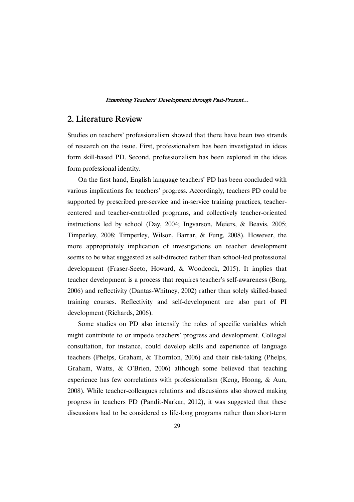# 2. Literature Review

Studies on teachers' professionalism showed that there have been two strands of research on the issue. First, professionalism has been investigated in ideas form skill-based PD. Second, professionalism has been explored in the ideas form professional identity.

On the first hand, English language teachers' PD has been concluded with various implications for teachers' progress. Accordingly, teachers PD could be supported by prescribed pre-service and in-service training practices, teachercentered and teacher-controlled programs, and collectively teacher-oriented instructions led by school (Day, 2004; Ingvarson, Meiers, & Beavis, 2005; Timperley, 2008; Timperley, Wilson, Barrar, & Fung, 2008). However, the more appropriately implication of investigations on teacher development seems to be what suggested as self-directed rather than school-led professional development (Fraser-Seeto, Howard, & Woodcock, 2015). It implies that teacher development is a process that requires teacher's self-awareness (Borg, 2006) and reflectivity (Dantas-Whitney, 2002) rather than solely skilled-based training courses. Reflectivity and self-development are also part of PI development (Richards, 2006).

Some studies on PD also intensify the roles of specific variables which might contribute to or impede teachers' progress and development. Collegial consultation, for instance, could develop skills and experience of language teachers (Phelps, Graham, & Thornton, 2006) and their risk-taking (Phelps, Graham, Watts, & O'Brien, 2006) although some believed that teaching experience has few correlations with professionalism (Keng, Hoong, & Aun, 2008). While teacher-colleagues relations and discussions also showed making progress in teachers PD (Pandit-Narkar, 2012), it was suggested that these discussions had to be considered as life-long programs rather than short-term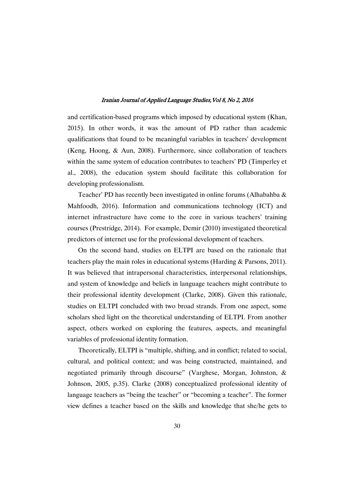and certification-based programs which imposed by educational system (Khan, 2015). In other words, it was the amount of PD rather than academic qualifications that found to be meaningful variables in teachers' development (Keng, Hoong, & Aun, 2008). Furthermore, since collaboration of teachers within the same system of education contributes to teachers' PD (Timperley et al., 2008), the education system should facilitate this collaboration for developing professionalism.

Teacher' PD has recently been investigated in online forums (Alhabahba & Mahfoodh, 2016). Information and communications technology (ICT) and internet infrastructure have come to the core in various teachers' training courses (Prestridge, 2014). For example, Demir (2010) investigated theoretical predictors of internet use for the professional development of teachers.

On the second hand, studies on ELTPI are based on the rationale that teachers play the main roles in educational systems (Harding & Parsons, 2011). It was believed that intrapersonal characteristics, interpersonal relationships, and system of knowledge and beliefs in language teachers might contribute to their professional identity development (Clarke, 2008). Given this rationale, studies on ELTPI concluded with two broad strands. From one aspect, some scholars shed light on the theoretical understanding of ELTPI. From another aspect, others worked on exploring the features, aspects, and meaningful variables of professional identity formation.

Theoretically, ELTPI is "multiple, shifting, and in conflict; related to social, cultural, and political context; and was being constructed, maintained, and negotiated primarily through discourse" (Varghese, Morgan, Johnston, & Johnson, 2005, p.35). Clarke (2008) conceptualized professional identity of language teachers as "being the teacher" or "becoming a teacher". The former view defines a teacher based on the skills and knowledge that she/he gets to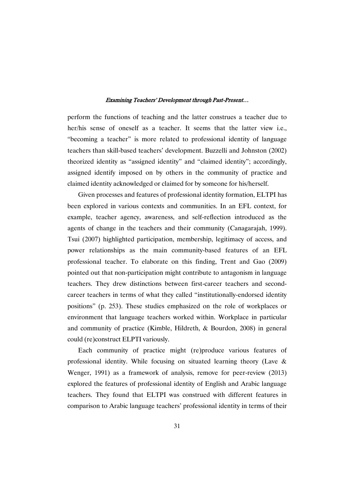perform the functions of teaching and the latter construes a teacher due to her/his sense of oneself as a teacher. It seems that the latter view i.e., "becoming a teacher" is more related to professional identity of language teachers than skill-based teachers' development. Buzzelli and Johnston (2002) theorized identity as "assigned identity" and "claimed identity"; accordingly, assigned identify imposed on by others in the community of practice and claimed identity acknowledged or claimed for by someone for his/herself.

Given processes and features of professional identity formation, ELTPI has been explored in various contexts and communities. In an EFL context, for example, teacher agency, awareness, and self-reflection introduced as the agents of change in the teachers and their community (Canagarajah, 1999). Tsui (2007) highlighted participation, membership, legitimacy of access, and power relationships as the main community-based features of an EFL professional teacher. To elaborate on this finding, Trent and Gao (2009) pointed out that non-participation might contribute to antagonism in language teachers. They drew distinctions between first-career teachers and secondcareer teachers in terms of what they called "institutionally-endorsed identity positions" (p. 253). These studies emphasized on the role of workplaces or environment that language teachers worked within. Workplace in particular and community of practice (Kimble, Hildreth, & Bourdon, 2008) in general could (re)construct ELPTI variously.

Each community of practice might (re)produce various features of professional identity. While focusing on situated learning theory (Lave & Wenger, 1991) as a framework of analysis, remove for peer-review (2013) explored the features of professional identity of English and Arabic language teachers. They found that ELTPI was construed with different features in comparison to Arabic language teachers' professional identity in terms of their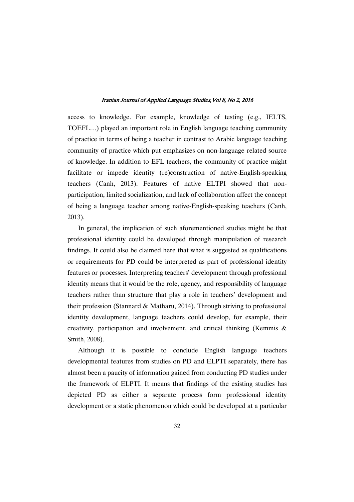access to knowledge. For example, knowledge of testing (e.g., IELTS, TOEFL…) played an important role in English language teaching community of practice in terms of being a teacher in contrast to Arabic language teaching community of practice which put emphasizes on non-language related source of knowledge. In addition to EFL teachers, the community of practice might facilitate or impede identity (re)construction of native-English-speaking teachers (Canh, 2013). Features of native ELTPI showed that nonparticipation, limited socialization, and lack of collaboration affect the concept of being a language teacher among native-English-speaking teachers (Canh, 2013).

In general, the implication of such aforementioned studies might be that professional identity could be developed through manipulation of research findings. It could also be claimed here that what is suggested as qualifications or requirements for PD could be interpreted as part of professional identity features or processes. Interpreting teachers' development through professional identity means that it would be the role, agency, and responsibility of language teachers rather than structure that play a role in teachers' development and their profession (Stannard & Matharu, 2014). Through striving to professional identity development, language teachers could develop, for example, their creativity, participation and involvement, and critical thinking (Kemmis & Smith, 2008).

Although it is possible to conclude English language teachers developmental features from studies on PD and ELPTI separately, there has almost been a paucity of information gained from conducting PD studies under the framework of ELPTI. It means that findings of the existing studies has depicted PD as either a separate process form professional identity development or a static phenomenon which could be developed at a particular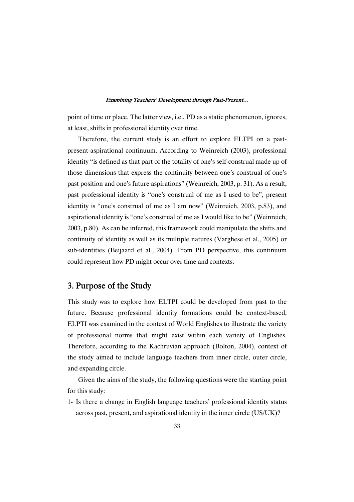point of time or place. The latter view, i.e., PD as a static phenomenon, ignores, at least, shifts in professional identity over time.

Therefore, the current study is an effort to explore ELTPI on a pastpresent-aspirational continuum. According to Weinreich (2003), professional identity "is defined as that part of the totality of one's self-construal made up of those dimensions that express the continuity between one's construal of one's past position and one's future aspirations" (Weinreich, 2003, p. 31). As a result, past professional identity is "one's construal of me as I used to be", present identity is "one's construal of me as I am now" (Weinreich, 2003, p.83), and aspirational identity is "one's construal of me as I would like to be" (Weinreich, 2003, p.80). As can be inferred, this framework could manipulate the shifts and continuity of identity as well as its multiple natures (Varghese et al., 2005) or sub-identities (Beijaard et al., 2004). From PD perspective, this continuum could represent how PD might occur over time and contexts.

# 3. Purpose of the Study

This study was to explore how ELTPI could be developed from past to the future. Because professional identity formations could be context-based, ELPTI was examined in the context of World Englishes to illustrate the variety of professional norms that might exist within each variety of Englishes. Therefore, according to the Kachruvian approach (Bolton, 2004), context of the study aimed to include language teachers from inner circle, outer circle, and expanding circle.

Given the aims of the study, the following questions were the starting point for this study:

1- Is there a change in English language teachers' professional identity status across past, present, and aspirational identity in the inner circle (US/UK)?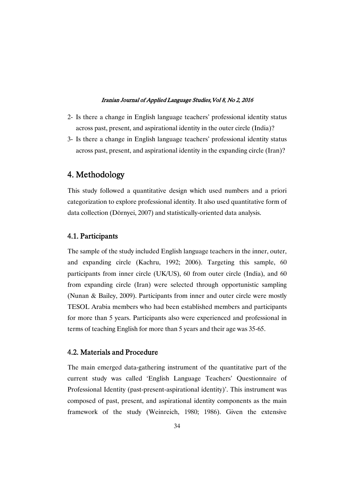- 2- Is there a change in English language teachers' professional identity status across past, present, and aspirational identity in the outer circle (India)?
- 3- Is there a change in English language teachers' professional identity status across past, present, and aspirational identity in the expanding circle (Iran)?

# 4.Methodology

This study followed a quantitative design which used numbers and a priori categorization to explore professional identity. It also used quantitative form of data collection (Dörnyei, 2007) and statistically-oriented data analysis.

### 4.1.Participants

The sample of the study included English language teachers in the inner, outer, and expanding circle (Kachru, 1992; 2006). Targeting this sample, 60 participants from inner circle (UK/US), 60 from outer circle (India), and 60 from expanding circle (Iran) were selected through opportunistic sampling (Nunan & Bailey, 2009). Participants from inner and outer circle were mostly TESOL Arabia members who had been established members and participants for more than 5 years. Participants also were experienced and professional in terms of teaching English for more than 5 years and their age was 35-65.

### 4.2. Materials and Procedure

The main emerged data-gathering instrument of the quantitative part of the current study was called 'English Language Teachers' Questionnaire of Professional Identity (past-present-aspirational identity)'. This instrument was composed of past, present, and aspirational identity components as the main framework of the study (Weinreich, 1980; 1986). Given the extensive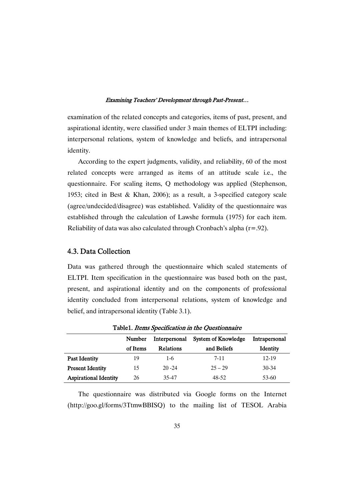examination of the related concepts and categories, items of past, present, and aspirational identity, were classified under 3 main themes of ELTPI including: interpersonal relations, system of knowledge and beliefs, and intrapersonal identity.

According to the expert judgments, validity, and reliability, 60 of the most related concepts were arranged as items of an attitude scale i.e., the questionnaire. For scaling items, Q methodology was applied (Stephenson, 1953; cited in Best & Khan, 2006); as a result, a 3-specified category scale (agree/undecided/disagree) was established. Validity of the questionnaire was established through the calculation of Lawshe formula (1975) for each item. Reliability of data was also calculated through Cronbach's alpha  $(r=.92)$ .

### 4.3. Data Collection

Data was gathered through the questionnaire which scaled statements of ELTPI. Item specification in the questionnaire was based both on the past, present, and aspirational identity and on the components of professional identity concluded from interpersonal relations, system of knowledge and belief, and intrapersonal identity (Table 3.1).

|                              | Number   | Interpersonal | System of Knowledge | Intrapersonal |
|------------------------------|----------|---------------|---------------------|---------------|
|                              | of Items | Relations     | and Beliefs         | Identity      |
| <b>Past Identity</b>         | 19       | $1-6$         | $7 - 11$            | 12-19         |
| <b>Present Identity</b>      | 15       | $20 - 24$     | $25 - 29$           | $30 - 34$     |
| <b>Aspirational Identity</b> | 26       | 35-47         | 48-52               | 53-60         |

Table1. Items Specification in the Ouestionnaire

The questionnaire was distributed via Google forms on the Internet (http://goo.gl/forms/3TtmwBBISQ) to the mailing list of TESOL Arabia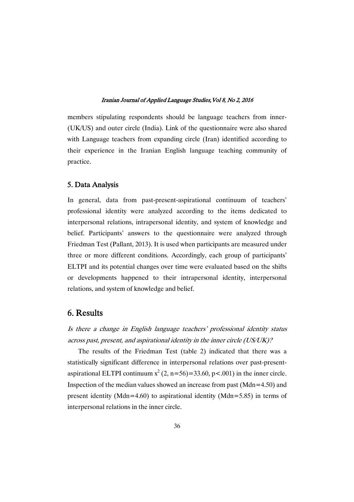members stipulating respondents should be language teachers from inner- (UK/US) and outer circle (India). Link of the questionnaire were also shared with Language teachers from expanding circle (Iran) identified according to their experience in the Iranian English language teaching community of practice.

### 5.DataAnalysis

In general, data from past-present-aspirational continuum of teachers' professional identity were analyzed according to the items dedicated to interpersonal relations, intrapersonal identity, and system of knowledge and belief. Participants' answers to the questionnaire were analyzed through Friedman Test (Pallant, 2013). It is used when participants are measured under three or more different conditions. Accordingly, each group of participants' ELTPI and its potential changes over time were evaluated based on the shifts or developments happened to their intrapersonal identity, interpersonal relations, and system of knowledge and belief.

# 6.Results

Is there <sup>a</sup> change in English language teachers' professional identity status across past, present, and aspirational identity in the inner circle (US/UK)?

The results of the Friedman Test (table 2) indicated that there was a statistically significant difference in interpersonal relations over past-presentaspirational ELTPI continuum  $x^2$  (2, n=56)=33.60, p<.001) in the inner circle. Inspection of the median values showed an increase from past  $(Mdn=4.50)$  and present identity (Mdn=4.60) to aspirational identity (Mdn=5.85) in terms of interpersonal relations in the inner circle.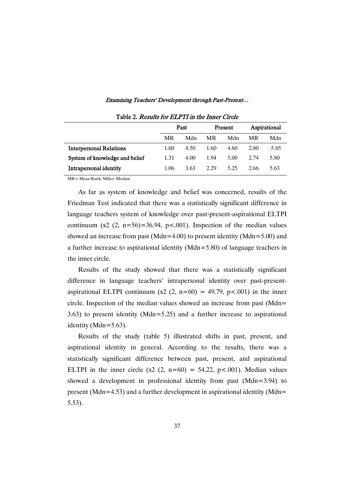|  |  | Examining Teachers' Development through Past-Present |  |
|--|--|------------------------------------------------------|--|
|  |  |                                                      |  |

| 1400 L. Roberto 101 DDI 11 Br the Billot Circle |      |      |         |      |              |      |  |  |
|-------------------------------------------------|------|------|---------|------|--------------|------|--|--|
|                                                 | Past |      | Present |      | Aspirational |      |  |  |
|                                                 | MR   | Mdn  | MR      | Mdn  | MR           | Mdn  |  |  |
| <b>Interpersonal Relations</b>                  | 1.60 | 4.50 | 1.60    | 4.60 | 2.80         | 5.85 |  |  |
| System of knowledge and belief                  | 1.31 | 4.00 | 1.94    | 5.00 | 2.74         | 5.80 |  |  |
| Intrapersonal identity                          | 1.06 | 3.63 | 2.29    | 525  | 2.66         | 5.63 |  |  |

Table 2. Results for ELPTI in the Inner Circle

MR= Mean Rank; Mdn= Median

As far as system of knowledge and belief was concerned, results of the Friedman Test indicated that there was a statistically significant difference in language teachers system of knowledge over past-present-aspirational ELTPI continuum  $(x2 (2, n=56)=36.94, p<.001)$ . Inspection of the median values showed an increase from past (Mdn=4.00) to present identity (Mdn=5.00) and a further increase to aspirational identity (Mdn=5.80) of language teachers in the inner circle.

Results of the study showed that there was a statistically significant difference in language teachers' intrapersonal identity over past-presentaspirational ELTPI continuum  $(x2 (2, n=60) = 49.79, p<.001)$  in the inner circle. Inspection of the median values showed an increase from past (Mdn= 3.63) to present identity (Mdn=5.25) and a further increase to aspirational identity (Mdn=5.63).

Results of the study (table 5) illustrated shifts in past, present, and aspirational identity in general. According to the results, there was a statistically significant difference between past, present, and aspirational ELTPI in the inner circle  $(x2 (2, n=60) = 54.22, p<.001)$ . Median values showed a development in professional identity from past (Mdn=3.94) to present (Mdn=4.53) and a further development in aspirational identity (Mdn= 5.53).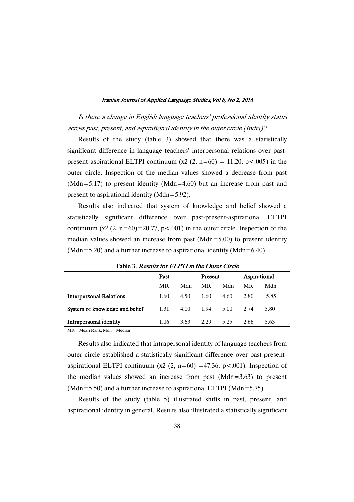Is there <sup>a</sup> change in English language teachers' professional identity status across past, present, and aspirational identity in the outer circle (India)?

Results of the study (table 3) showed that there was a statistically significant difference in language teachers' interpersonal relations over pastpresent-aspirational ELTPI continuum  $(x2 (2, n=60) = 11.20, p<.005)$  in the outer circle. Inspection of the median values showed a decrease from past (Mdn=5.17) to present identity (Mdn=4.60) but an increase from past and present to aspirational identity (Mdn=5.92).

Results also indicated that system of knowledge and belief showed a statistically significant difference over past-present-aspirational ELTPI continuum  $(x2 (2, n=60)=20.77, p<.001)$  in the outer circle. Inspection of the median values showed an increase from past (Mdn=5.00) to present identity (Mdn=5.20) and a further increase to aspirational identity (Mdn=6.40).

| 1000 J. 100000 IOI <i>LEI 11 M GIU Catol Ch</i> olo |      |      |         |      |              |      |  |  |
|-----------------------------------------------------|------|------|---------|------|--------------|------|--|--|
|                                                     | Past |      | Present |      | Aspirational |      |  |  |
|                                                     | MR   | Mdn  | MR      | Mdn  | MR           | Mdn  |  |  |
| <b>Interpersonal Relations</b>                      | 1.60 | 4.50 | 1.60    | 4.60 | 2.80         | 5.85 |  |  |
| System of knowledge and belief                      | 1.31 | 4.00 | 1.94    | 5.00 | 2.74         | 5.80 |  |  |
| Intrapersonal identity                              | 1.06 | 3.63 | 2.29    | 5.25 | 2.66         | 5.63 |  |  |
| $\mathbf{v}$                                        |      |      |         |      |              |      |  |  |

Table 3. Results for FLPTI in the Outer Circle

MR= Mean Rank; Mdn= Median

Results also indicated that intrapersonal identity of language teachers from outer circle established a statistically significant difference over past-presentaspirational ELTPI continuum (x2 (2, n=60) =47.36, p < 0.001). Inspection of the median values showed an increase from past (Mdn=3.63) to present (Mdn=5.50) and a further increase to aspirational ELTPI (Mdn=5.75).

Results of the study (table 5) illustrated shifts in past, present, and aspirational identity in general. Results also illustrated a statistically significant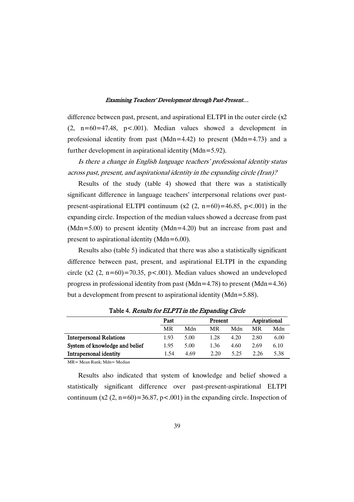difference between past, present, and aspirational ELTPI in the outer circle (x2  $(2, n=60=47.48, p<.001)$ . Median values showed a development in professional identity from past (Mdn=4.42) to present (Mdn=4.73) and a further development in aspirational identity (Mdn=5.92).

Is there <sup>a</sup> change in English language teachers' professional identity status across past, present, and aspirational identity in the expanding circle (Iran)?

Results of the study (table 4) showed that there was a statistically significant difference in language teachers' interpersonal relations over pastpresent-aspirational ELTPI continuum  $(x2 (2, n=60)=46.85, p<.001)$  in the expanding circle. Inspection of the median values showed a decrease from past (Mdn=5.00) to present identity (Mdn=4.20) but an increase from past and present to aspirational identity (Mdn=6.00).

Results also (table 5) indicated that there was also a statistically significant difference between past, present, and aspirational ELTPI in the expanding circle  $(x2 (2, n=60)=70.35, p<.001)$ . Median values showed an undeveloped progress in professional identity from past (Mdn=4.78) to present (Mdn=4.36) but a development from present to aspirational identity (Mdn=5.88).

|                                | Past |      | Present |      | Aspirational |      |
|--------------------------------|------|------|---------|------|--------------|------|
|                                | MR   | Mdn  | MR      | Mdn  | MR           | Mdn  |
| <b>Interpersonal Relations</b> | 1.93 | 5.00 | 1.28    | 4.20 | 2.80         | 6.00 |
| System of knowledge and belief | 1.95 | 5.00 | 1.36    | 4.60 | 2.69         | 6.10 |
| Intrapersonal identity         | 1.54 | 4.69 | 2.20    | 5.25 | 2.26         | 5.38 |

Table 4. Results for ELPTI in the Expanding Circle

MR= Mean Rank; Mdn= Median

Results also indicated that system of knowledge and belief showed a statistically significant difference over past-present-aspirational ELTPI continuum  $(x2 (2, n=60)=36.87, p<.001)$  in the expanding circle. Inspection of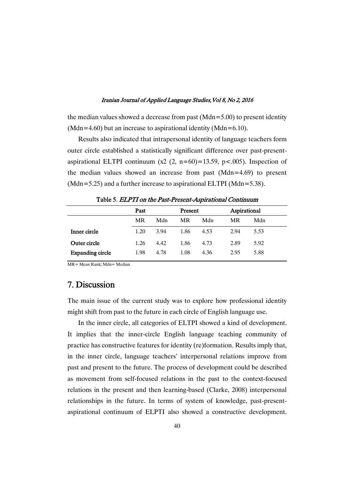the median values showed a decrease from past ( $Mdn=5.00$ ) to present identity (Mdn=4.60) but an increase to aspirational identity (Mdn=6.10).

Results also indicated that intrapersonal identity of language teachers form outer circle established a statistically significant difference over past-presentaspirational ELTPI continuum  $(x2 (2, n=60)=13.59, p<.005)$ . Inspection of the median values showed an increase from past (Mdn=4.69) to present (Mdn=5.25) and a further increase to aspirational ELTPI (Mdn=5.38).

|                         | Past |      | Present |      | Aspirational |      |
|-------------------------|------|------|---------|------|--------------|------|
|                         | MR   | Mdn  | MR      | Mdn  | MR           | Mdn  |
| Inner circle            | 1.20 | 3.94 | 1.86    | 4.53 | 2.94         | 5.53 |
| Outer circle            | 1.26 | 4.42 | 1.86    | 4.73 | 2.89         | 5.92 |
| <b>Expanding circle</b> | 1.98 | 4.78 | 1.08    | 4.36 | 2.95         | 5.88 |

Table 5. ELPTI on the Past-Present-Aspirational Continuum

MR= Mean Rank; Mdn= Median

# 7.Discussion

The main issue of the current study was to explore how professional identity might shift from past to the future in each circle of English language use.

In the inner circle, all categories of ELTPI showed a kind of development. It implies that the inner-circle English language teaching community of practice has constructive features for identity (re)formation. Results imply that, in the inner circle, language teachers' interpersonal relations improve from past and present to the future. The process of development could be described as movement from self-focused relations in the past to the context-focused relations in the present and then learning-based (Clarke, 2008) interpersonal relationships in the future. In terms of system of knowledge, past-presentaspirational continuum of ELPTI also showed a constructive development.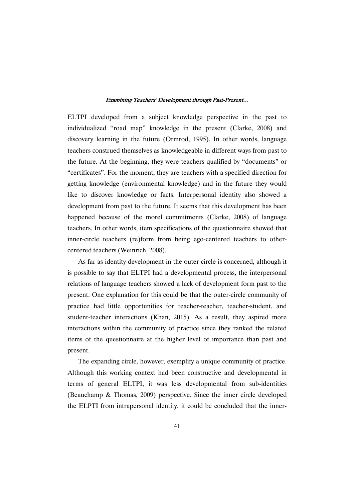ELTPI developed from a subject knowledge perspective in the past to individualized "road map" knowledge in the present (Clarke, 2008) and discovery learning in the future (Ormrod, 1995). In other words, language teachers construed themselves as knowledgeable in different ways from past to the future. At the beginning, they were teachers qualified by "documents" or "certificates". For the moment, they are teachers with a specified direction for getting knowledge (environmental knowledge) and in the future they would like to discover knowledge or facts. Interpersonal identity also showed a development from past to the future. It seems that this development has been happened because of the morel commitments (Clarke, 2008) of language teachers. In other words, item specifications of the questionnaire showed that inner-circle teachers (re)form from being ego-centered teachers to othercentered teachers (Weinrich, 2008).

As far as identity development in the outer circle is concerned, although it is possible to say that ELTPI had a developmental process, the interpersonal relations of language teachers showed a lack of development form past to the present. One explanation for this could be that the outer-circle community of practice had little opportunities for teacher-teacher, teacher-student, and student-teacher interactions (Khan, 2015). As a result, they aspired more interactions within the community of practice since they ranked the related items of the questionnaire at the higher level of importance than past and present.

The expanding circle, however, exemplify a unique community of practice. Although this working context had been constructive and developmental in terms of general ELTPI, it was less developmental from sub-identities (Beauchamp & Thomas, 2009) perspective. Since the inner circle developed the ELPTI from intrapersonal identity, it could be concluded that the inner-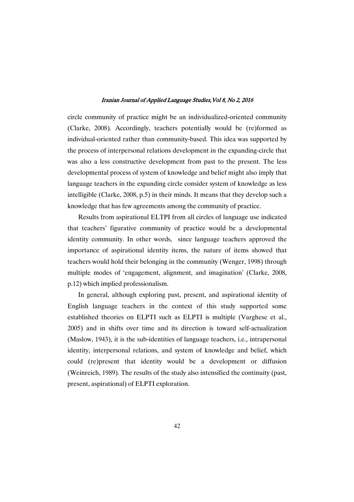circle community of practice might be an individualized-oriented community (Clarke, 2008). Accordingly, teachers potentially would be (re)formed as individual-oriented rather than community-based. This idea was supported by the process of interpersonal relations development in the expanding-circle that was also a less constructive development from past to the present. The less developmental process of system of knowledge and belief might also imply that language teachers in the expanding circle consider system of knowledge as less intelligible (Clarke, 2008, p.5) in their minds. It means that they develop such a knowledge that has few agreements among the community of practice.

Results from aspirational ELTPI from all circles of language use indicated that teachers' figurative community of practice would be a developmental identity community. In other words, since language teachers approved the importance of aspirational identity items, the nature of items showed that teachers would hold their belonging in the community (Wenger, 1998) through multiple modes of 'engagement, alignment, and imagination' (Clarke, 2008, p.12) which implied professionalism.

In general, although exploring past, present, and aspirational identity of English language teachers in the context of this study supported some established theories on ELPTI such as ELPTI is multiple (Varghese et al., 2005) and in shifts over time and its direction is toward self-actualization (Maslow, 1943), it is the sub-identities of language teachers, i.e., intrapersonal identity, interpersonal relations, and system of knowledge and belief, which could (re)present that identity would be a development or diffusion (Weinreich, 1989). The results of the study also intensified the continuity (past, present, aspirational) of ELPTI exploration.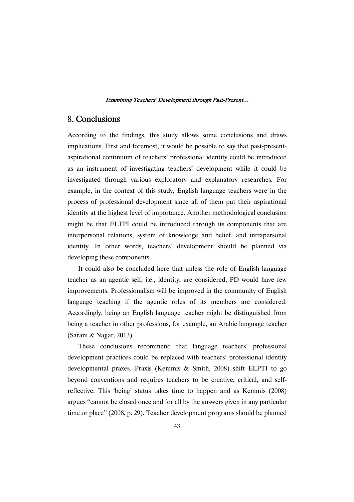### 8.Conclusions

According to the findings, this study allows some conclusions and draws implications. First and foremost, it would be possible to say that past-presentaspirational continuum of teachers' professional identity could be introduced as an instrument of investigating teachers' development while it could be investigated through various exploratory and explanatory researches. For example, in the context of this study, English language teachers were in the process of professional development since all of them put their aspirational identity at the highest level of importance. Another methodological conclusion might be that ELTPI could be introduced through its components that are interpersonal relations, system of knowledge and belief, and intrapersonal identity. In other words, teachers' development should be planned via developing these components.

It could also be concluded here that unless the role of English language teacher as an agentic self, i.e., identity, are considered, PD would have few improvements. Professionalism will be improved in the community of English language teaching if the agentic roles of its members are considered. Accordingly, being an English language teacher might be distinguished from being a teacher in other professions, for example, an Arabic language teacher (Sarani & Najjar, 2013).

These conclusions recommend that language teachers' professional development practices could be replaced with teachers' professional identity developmental praxes. Praxis (Kemmis & Smith, 2008) shift ELPTI to go beyond conventions and requires teachers to be creative, critical, and selfreflective. This 'being' status takes time to happen and as Kemmis (2008) argues "cannot be closed once and for all by the answers given in any particular time or place" (2008, p. 29). Teacher development programs should be planned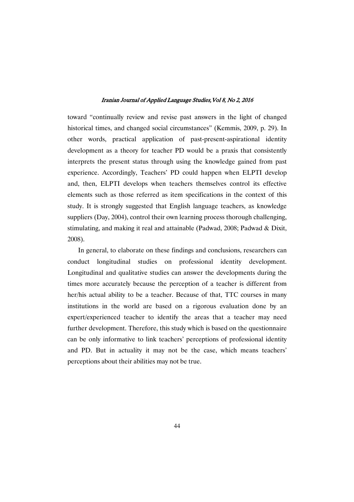toward "continually review and revise past answers in the light of changed historical times, and changed social circumstances" (Kemmis, 2009, p. 29). In other words, practical application of past-present-aspirational identity development as a theory for teacher PD would be a praxis that consistently interprets the present status through using the knowledge gained from past experience. Accordingly, Teachers' PD could happen when ELPTI develop and, then, ELPTI develops when teachers themselves control its effective elements such as those referred as item specifications in the context of this study. It is strongly suggested that English language teachers, as knowledge suppliers (Day, 2004), control their own learning process thorough challenging, stimulating, and making it real and attainable (Padwad, 2008; Padwad & Dixit, 2008).

In general, to elaborate on these findings and conclusions, researchers can conduct longitudinal studies on professional identity development. Longitudinal and qualitative studies can answer the developments during the times more accurately because the perception of a teacher is different from her/his actual ability to be a teacher. Because of that, TTC courses in many institutions in the world are based on a rigorous evaluation done by an expert/experienced teacher to identify the areas that a teacher may need further development. Therefore, this study which is based on the questionnaire can be only informative to link teachers' perceptions of professional identity and PD. But in actuality it may not be the case, which means teachers' perceptions about their abilities may not be true.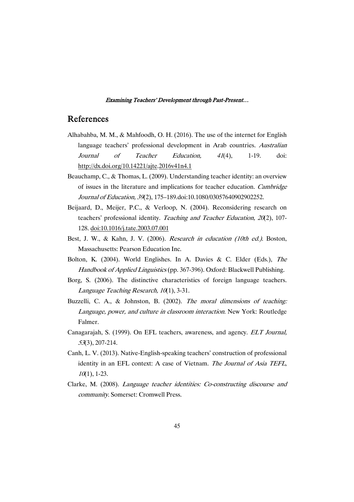### References

- Alhabahba, M. M., & Mahfoodh, O. H. (2016). The use of the internet for English language teachers' professional development in Arab countries. Australian Journal of Teacher Education, <sup>41</sup>(4), 1-19. doi: http://dx.doi.org/10.14221/ajte.2016v41n4.1
- Beauchamp, C., & Thomas, L. (2009). Understanding teacher identity: an overview of issues in the literature and implications for teacher education. Cambridge Journal of Education, <sup>39</sup>(2), 175–189.doi:10.1080/03057640902902252.
- Beijaard, D., Meijer, P.C., & Verloop, N. (2004). Reconsidering research on teachers' professional identity. Teaching and Teacher Education, <sup>20</sup>(2), 107- 128. doi:10.1016/j.tate.2003.07.001
- Best, J. W., & Kahn, J. V. (2006). Research in education (10th ed.). Boston, Massachusetts: Pearson Education Inc.
- Bolton, K. (2004). World Englishes. In A. Davies & C. Elder (Eds.), The Handbook of Applied Linguistics (pp. 367-396). Oxford: Blackwell Publishing.
- Borg, S. (2006). The distinctive characteristics of foreign language teachers. Language Teaching Research,  $10(1)$ , 3-31.
- Buzzelli, C. A., & Johnston, B. (2002). The moral dimensions of teaching: Language, power, and culture in classroom interaction. New York: Routledge Falmer.
- Canagarajah, S. (1999). On EFL teachers, awareness, and agency. ELT Journal, <sup>53</sup>(3), 207-214.
- Canh, L. V. (2013). Native-English-speaking teachers' construction of professional identity in an EFL context: A case of Vietnam. The Journal of Asia TEFL,  $10(1)$ , 1-23.
- Clarke, M. (2008). Language teacher identities: Co-constructing discourse and community. Somerset: Cromwell Press.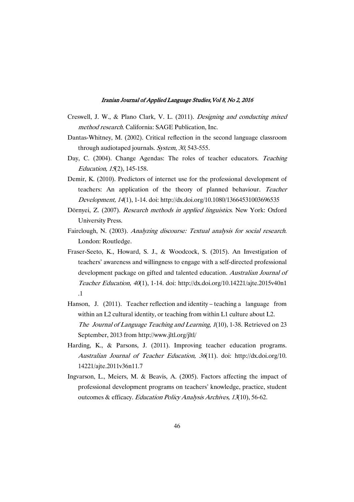- Creswell, J. W., & Plano Clark, V. L. (2011). Designing and conducting mixed method research. California: SAGE Publication, Inc.
- Dantas-Whitney, M. (2002). Critical reflection in the second language classroom through audiotaped journals. System, 30, 543-555.
- Day, C. (2004). Change Agendas: The roles of teacher educators. Teaching Education, <sup>15</sup>(2), 145-158.
- Demir, K. (2010). Predictors of internet use for the professional development of teachers: An application of the theory of planned behaviour. Teacher Development, <sup>14</sup>(1), 1-14. doi: http://dx.doi.org/10.1080/13664531003696535
- Dörnyei, Z. (2007). Research methods in applied linguistics. New York: Oxford University Press.
- Fairclough, N. (2003). Analyzing discourse: Textual analysis for social research. London: Routledge.
- Fraser-Seeto, K., Howard, S. J., & Woodcock, S. (2015). An Investigation of teachers' awareness and willingness to engage with a self-directed professional development package on gifted and talented education. Australian Journal of Teacher Education, <sup>40</sup>(1), 1-14. doi: http://dx.doi.org/10.14221/ajte.2015v40n1 .1
- Hanson, J. (2011). Teacher reflection and identity teaching a language from within an L2 cultural identity, or teaching from within L1 culture about L2. The Journal of Language Teaching and Learning, <sup>1</sup>(10), 1-38. Retrieved on 23 September, 2013 from http://www.jltl.org/jltl/
- Harding, K., & Parsons, J. (2011). Improving teacher education programs. Australian Journal of Teacher Education, <sup>36</sup>(11). doi: http://dx.doi.org/10. 14221/ajte.2011v36n11.7
- Ingvarson, L., Meiers, M. & Beavis, A. (2005). Factors affecting the impact of professional development programs on teachers' knowledge, practice, student outcomes & efficacy. Education Policy Analysis Archives, <sup>13</sup>(10), 56-62.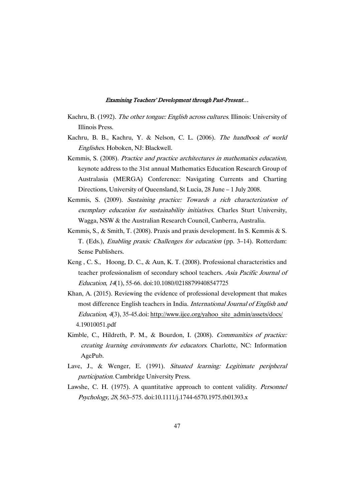- Kachru, B. (1992). The other tongue: English across cultures. Illinois: University of Illinois Press.
- Kachru, B. B., Kachru, Y. & Nelson, C. L. (2006). The handbook of world Englishes. Hoboken, NJ: Blackwell.
- Kemmis, S. (2008). Practice and practice architectures in mathematics education, keynote address to the 31st annual Mathematics Education Research Group of Australasia (MERGA) Conference: Navigating Currents and Charting Directions, University of Queensland, St Lucia, 28 June – 1 July 2008.
- Kemmis, S. (2009). Sustaining practice: Towards <sup>a</sup> rich characterization of exemplary education for sustainability initiatives. Charles Sturt University, Wagga, NSW & the Australian Research Council, Canberra, Australia.
- Kemmis, S., & Smith, T. (2008). Praxis and praxis development. In S. Kemmis & S. T. (Eds.), Enabling praxis: Challenges for education (pp. 3–14). Rotterdam: Sense Publishers.
- Keng , C. S., Hoong, D. C., & Aun, K. T. (2008). Professional characteristics and teacher professionalism of secondary school teachers. Asia Pacific Journal of Education, <sup>14</sup>(1), 55-66. doi:10.1080/02188799408547725
- Khan, A. (2015). Reviewing the evidence of professional development that makes most difference English teachers in India. International Journal of English and Education, 4(3), 35-45.doi: http://www.ijee.org/yahoo\_site\_admin/assets/docs/ 4.19010051.pdf
- Kimble, C., Hildreth, P. M., & Bourdon, I. (2008). Communities of practice: creating learning environments for educators. Charlotte, NC: Information AgePub.
- Lave, J., & Wenger, E. (1991). Situated learning: Legitimate peripheral participation. Cambridge University Press.
- Lawshe, C. H. (1975). A quantitative approach to content validity. Personnel Psychology, <sup>28</sup>, 563–575. doi:10.1111/j.1744-6570.1975.tb01393.x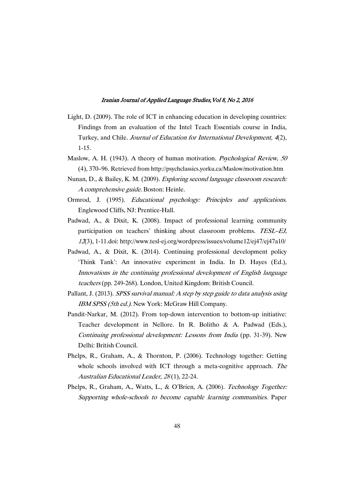- Light, D. (2009). The role of ICT in enhancing education in developing countries: Findings from an evaluation of the Intel Teach Essentials course in India, Turkey, and Chile. Journal of Education for International Development, <sup>4</sup>(2), 1-15.
- Maslow, A. H. (1943). A theory of human motivation. Psychological Review, 50 (4), 370–96. Retrieved from http://psychclassics.yorku.ca/Maslow/motivation.htm
- Nunan, D., & Bailey, K. M. (2009). Exploring second language classroom research: <sup>A</sup> comprehensive guide. Boston: Heinle.
- Ormrod, J. (1995). Educational psychology: Principles and applications. Englewood Cliffs, NJ: Prentice-Hall.
- Padwad, A., & Dixit, K. (2008). Impact of professional learning community participation on teachers' thinking about classroom problems. TESL-EJ, <sup>12</sup>(3), 1-11.doi: http://www.tesl-ej.org/wordpress/issues/volume12/ej47/ej47a10/
- Padwad, A., & Dixit, K. (2014). Continuing professional development policy 'Think Tank': An innovative experiment in India. In D. Hayes (Ed.), Innovations in the continuing professional development of English language teachers (pp. 249-268). London, United Kingdom: British Council.
- Pallant, J. (2013). SPSS survival manual: <sup>A</sup> step by step guide to data analysis using IBM SPSS (5th ed.). New York: McGraw Hill Company.
- Pandit-Narkar, M. (2012). From top-down intervention to bottom-up initiative: Teacher development in Nellore. In R. Bolitho & A. Padwad (Eds.), Continuing professional development: Lessons from India (pp. 31-39). New Delhi: British Council.
- Phelps, R., Graham, A., & Thornton, P. (2006). Technology together: Getting whole schools involved with ICT through a meta-cognitive approach. The Australian Educational Leader, <sup>28</sup> (1), 22-24.
- Phelps, R., Graham, A., Watts, L., & O'Brien, A. (2006). Technology Together: Supporting whole-schools to become capable learning communities. Paper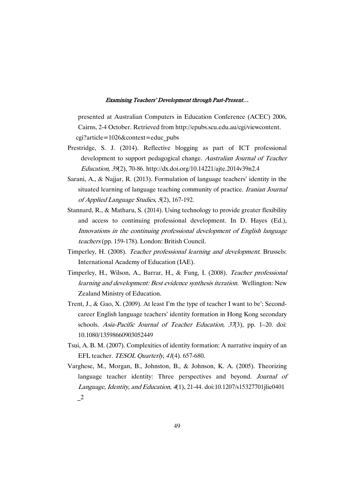presented at Australian Computers in Education Conference (ACEC) 2006, Cairns, 2-4 October. Retrieved from http://epubs.scu.edu.au/cgi/viewcontent. cgi?article=1026&context=educ\_pubs

- Prestridge, S. J. (2014). Reflective blogging as part of ICT professional development to support pedagogical change. Australian Journal of Teacher Education, <sup>39</sup>(2), 70-86. http://dx.doi.org/10.14221/ajte.2014v39n2.4
- Sarani, A., & Najjar, R. (2013). Formulation of language teachers' identity in the situated learning of language teaching community of practice. *Iranian Journal* of Applied Language Studies, <sup>5</sup>(2), 167-192.
- Stannard, R., & Matharu, S. (2014). Using technology to provide greater flexibility and access to continuing professional development. In D. Hayes (Ed.), Innovations in the continuing professional development of English language teachers (pp. 159-178). London: British Council.
- Timperley, H. (2008). Teacher professional learning and development. Brussels: International Academy of Education (IAE).
- Timperley, H., Wilson, A., Barrar, H., & Fung, I. (2008). Teacher professional learning and development: Best evidence synthesis iteration. Wellington: New Zealand Ministry of Education.
- Trent, J., & Gao, X. (2009). At least I'm the type of teacher I want to be': Secondcareer English language teachers' identity formation in Hong Kong secondary schools. Asia-Pacific Journal of Teacher Education, 37(3), pp. 1–20. doi: 10.1080/13598660903052449
- Tsui, A. B. M. (2007). Complexities of identity formation: A narrative inquiry of an EFL teacher. TESOL Quarterly, <sup>41</sup>(4). 657-680.
- Varghese, M., Morgan, B., Johnston, B., & Johnson, K. A. (2005). Theorizing language teacher identity: Three perspectives and beyond. Journal of Language, Identity, and Education, <sup>4</sup>(1), 21-44. doi:10.1207/s15327701jlie0401  $\mathbf{r}^2$